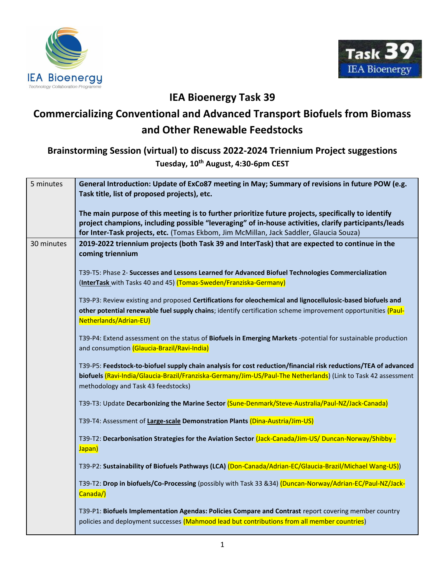



## **IEA Bioenergy Task 39**

## **Commercializing Conventional and Advanced Transport Biofuels from Biomass and Other Renewable Feedstocks**

## **Brainstorming Session (virtual) to discuss 2022-2024 Triennium Project suggestions**

**Tuesday, 10th August, 4:30-6pm CEST**

| 5 minutes  | General Introduction: Update of ExCo87 meeting in May; Summary of revisions in future POW (e.g.<br>Task title, list of proposed projects), etc.                                                                                                                                                        |
|------------|--------------------------------------------------------------------------------------------------------------------------------------------------------------------------------------------------------------------------------------------------------------------------------------------------------|
|            | The main purpose of this meeting is to further prioritize future projects, specifically to identify<br>project champions, including possible "leveraging" of in-house activities, clarify participants/leads<br>for Inter-Task projects, etc. (Tomas Ekbom, Jim McMillan, Jack Saddler, Glaucia Souza) |
| 30 minutes | 2019-2022 triennium projects (both Task 39 and InterTask) that are expected to continue in the<br>coming triennium                                                                                                                                                                                     |
|            | T39-T5: Phase 2- Successes and Lessons Learned for Advanced Biofuel Technologies Commercialization<br>(InterTask with Tasks 40 and 45) (Tomas-Sweden/Franziska-Germany)                                                                                                                                |
|            | T39-P3: Review existing and proposed Certifications for oleochemical and lignocellulosic-based biofuels and<br>other potential renewable fuel supply chains; identify certification scheme improvement opportunities (Paul-<br>Netherlands/Adrian-EU)                                                  |
|            | T39-P4: Extend assessment on the status of Biofuels in Emerging Markets -potential for sustainable production<br>and consumption (Glaucia-Brazil/Ravi-India)                                                                                                                                           |
|            | T39-P5: Feedstock-to-biofuel supply chain analysis for cost reduction/financial risk reductions/TEA of advanced<br>biofuels (Ravi-India/Glaucia-Brazil/Franziska-Germany/Jim-US/Paul-The Netherlands) (Link to Task 42 assessment<br>methodology and Task 43 feedstocks)                               |
|            | T39-T3: Update Decarbonizing the Marine Sector (Sune-Denmark/Steve-Australia/Paul-NZ/Jack-Canada)                                                                                                                                                                                                      |
|            | T39-T4: Assessment of Large-scale Demonstration Plants (Dina-Austria/Jim-US)                                                                                                                                                                                                                           |
|            | T39-T2: Decarbonisation Strategies for the Aviation Sector (Jack-Canada/Jim-US/ Duncan-Norway/Shibby -<br>Japan)                                                                                                                                                                                       |
|            | T39-P2: Sustainability of Biofuels Pathways (LCA) (Don-Canada/Adrian-EC/Glaucia-Brazil/Michael Wang-US))                                                                                                                                                                                               |
|            | T39-T2: Drop in biofuels/Co-Processing (possibly with Task 33 &34) (Duncan-Norway/Adrian-EC/Paul-NZ/Jack-<br>Canada/)                                                                                                                                                                                  |
|            | T39-P1: Biofuels Implementation Agendas: Policies Compare and Contrast report covering member country<br>policies and deployment successes (Mahmood lead but contributions from all member countries)                                                                                                  |